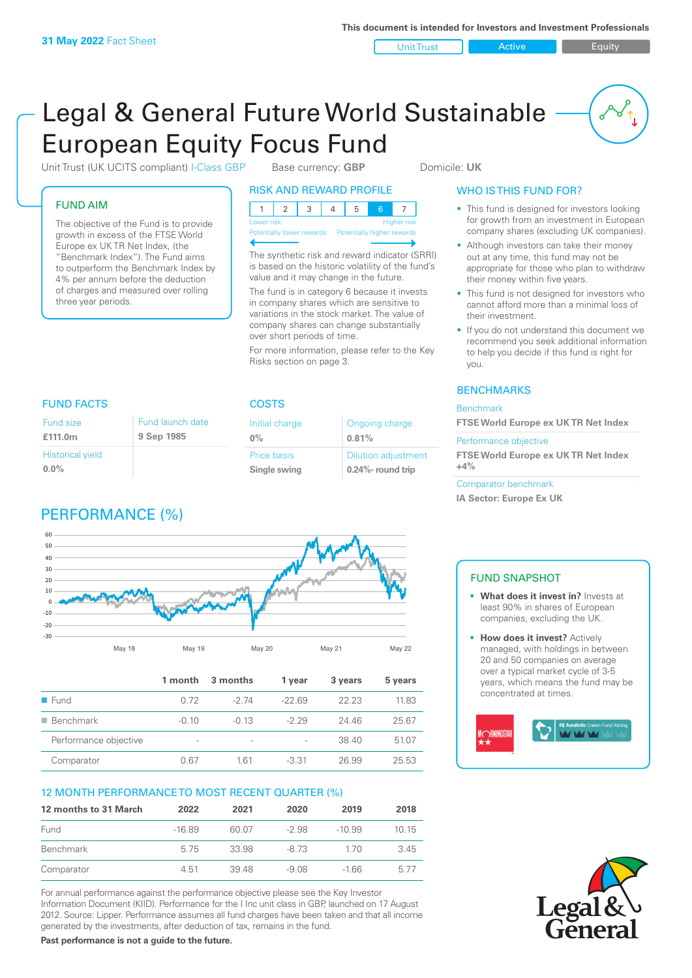Unit Trust **Active Active** Equity

# Legal & General Future World Sustainable European Equity Focus Fund

Unit Trust (UK UCITS compliant) I-Class GBP Base currency: **GBP** Domicile: UK

FUND AIM

Fund size **£111.0m**

**0.0%**

Historical yield

The objective of the Fund is to provide growth in excess of the FTSE World Europe ex UK TR Net Index, (the "Benchmark Index"). The Fund aims to outperform the Benchmark Index by 4% per annum before the deduction of charges and measured over rolling three year periods.

FUND FACTS COSTS

Fund launch date **9 Sep 1985**

RISK AND REWARD PROFILE

| <b>NON AIND NEWAND FRUTILE</b>   |  |  |  |  |  |  |  |
|----------------------------------|--|--|--|--|--|--|--|
|                                  |  |  |  |  |  |  |  |
| <b>Higher risk</b><br>Lower risk |  |  |  |  |  |  |  |

**Itially lower rewards** 

The synthetic risk and reward indicator (SRRI) is based on the historic volatility of the fund's value and it may change in the future.

The fund is in category 6 because it invests in company shares which are sensitive to variations in the stock market. The value of company shares can change substantially over short periods of time.

For more information, please refer to the Key Risks section on page 3.

> Ongoing charge **0.81%**

Dilution adjustment **0.24%- round trip**

Initial charge **0%**

Price basis **Single swing**

# WHO IS THIS FUND FOR?

- This fund is designed for investors looking for growth from an investment in European company shares (excluding UK companies).
- Although investors can take their money out at any time, this fund may not be appropriate for those who plan to withdraw their money within five years.
- This fund is not designed for investors who cannot afford more than a minimal loss of their investment.
- If you do not understand this document we recommend you seek additional information to help you decide if this fund is right for you.

# **BENCHMARKS**

#### Benchmark

**FTSE World Europe ex UK TR Net Index**

Performance objective

**FTSE World Europe ex UK TR Net Index +4%**

Comparator benchmark **IA Sector: Europe Ex UK**

# PERFORMANCE (%)



|                       | 1 month | 3 months                 | 1 year  | 3 years | 5 years |
|-----------------------|---------|--------------------------|---------|---------|---------|
| Fund                  | 0.72    | -2 74                    | $-2269$ | 22.23   | 11.83   |
| <b>Benchmark</b>      | $-0.10$ | $-0.13$                  | $-229$  | 24 46   | 25.67   |
| Performance objective | $\sim$  | $\overline{\phantom{a}}$ |         | 38.40   | 51.07   |
| Comparator            | 0.67    | 161                      | $-3.31$ | 26.99   | 25.53   |

# 12 MONTH PERFORMANCE TO MOST RECENT QUARTER (%)

| 12 months to 31 March | 2022     | 2021  | 2020    | 2019     | 2018 |
|-----------------------|----------|-------|---------|----------|------|
| Fund                  | $-16.89$ | 60.07 | $-2.98$ | $-10.99$ | 1015 |
| Benchmark             | 575      | 33.98 | $-873$  | 170      | 345  |
| Comparator            | 4.51     | 3948  | $-9.08$ | $-166$   | 577  |

For annual performance against the performance objective please see the Key Investor Information Document (KIID). Performance for the I Inc unit class in GBP, launched on 17 August 2012. Source: Lipper. Performance assumes all fund charges have been taken and that all income generated by the investments, after deduction of tax, remains in the fund.

**Past performance is not a guide to the future.**

# FUND SNAPSHOT

- **• What does it invest in?** Invests at least 90% in shares of European companies, excluding the UK.
- **• How does it invest?** Actively managed, with holdings in between 20 and 50 companies on average over a typical market cycle of 3-5 years, which means the fund may be concentrated at times.



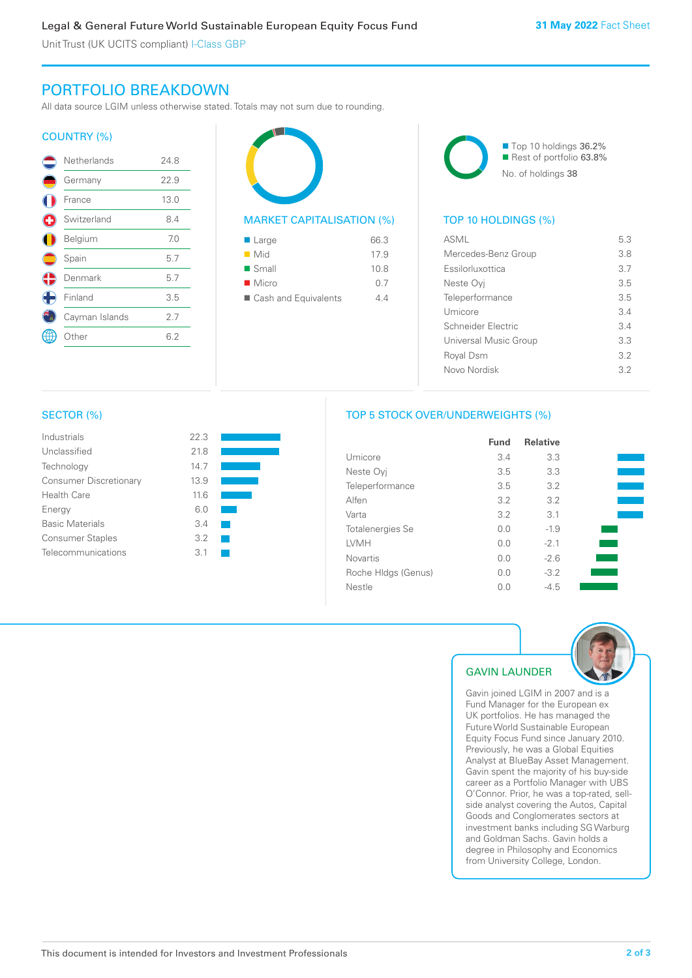Unit Trust (UK UCITS compliant) I-Class GBP

# PORTFOLIO BREAKDOWN

All data source LGIM unless otherwise stated. Totals may not sum due to rounding.

### COUNTRY (%)

|             | Netherlands    | 24.8 |  |
|-------------|----------------|------|--|
|             | Germany        | 22.9 |  |
|             | France         | 13.0 |  |
| $\mathbf C$ | Switzerland    | 8.4  |  |
|             | Belgium        | 7.0  |  |
|             | Spain          | 5.7  |  |
| Œ           | Denmark        | 5.7  |  |
| $\bigoplus$ | Finland        | 3.5  |  |
|             | Cayman Islands | 2.7  |  |
|             | )ther          | 6.2  |  |
|             |                |      |  |



| $\blacksquare$ Large   | 66.3 |
|------------------------|------|
| $\blacksquare$ Mid     | 17.9 |
| $\blacksquare$ Small   | 10.8 |
| $\blacksquare$ Micro   | 0.7  |
| ■ Cash and Equivalents | 44   |
|                        |      |



# TOP 10 HOLDINGS (%)

| <b>ASML</b>           | 5.3 |
|-----------------------|-----|
| Mercedes-Benz Group   | 3.8 |
| Essilorluxottica      | 37  |
| Neste Ovi             | 35  |
| Teleperformance       | 35  |
| Umicore               | 34  |
| Schneider Flectric    | 34  |
| Universal Music Group | 33  |
| Royal Dsm             | 32  |
| Novo Nordisk          | 32  |
|                       |     |

#### SECTOR (%)

| Industrials                   | 22.3 |  |
|-------------------------------|------|--|
| Unclassified                  | 21.8 |  |
| Technology                    | 14.7 |  |
| <b>Consumer Discretionary</b> | 13.9 |  |
| <b>Health Care</b>            | 116  |  |
| Energy                        | 6 N  |  |
| <b>Basic Materials</b>        | 3.4  |  |
| <b>Consumer Staples</b>       | 3.2  |  |
| Telecommunications            | 31   |  |
|                               |      |  |



# TOP 5 STOCK OVER/UNDERWEIGHTS (%)

|                     | <b>Fund</b> | <b>Relative</b> |  |
|---------------------|-------------|-----------------|--|
| Umicore             | 3.4         | 3.3             |  |
| Neste Oyj           | 3.5         | 3.3             |  |
| Teleperformance     | 3.5         | 3.2             |  |
| Alfen               | 3.2         | 3.2             |  |
| Varta               | 3.2         | 3.1             |  |
| Totalenergies Se    | 0.0         | $-1.9$          |  |
| LVMH                | 0.0         | $-2.1$          |  |
| <b>Novartis</b>     | 0.0         | $-2.6$          |  |
| Roche HIdgs (Genus) | 0.0         | $-3.2$          |  |
| Nestle              | 0.0         | $-4.5$          |  |



# GAVIN LAUNDER

Gavin joined LGIM in 2007 and is a Fund Manager for the European ex UK portfolios. He has managed the Future World Sustainable European Equity Focus Fund since January 2010. Previously, he was a Global Equities Analyst at BlueBay Asset Management. Gavin spent the majority of his buy-side career as a Portfolio Manager with UBS O'Connor. Prior, he was a top-rated, sellside analyst covering the Autos, Capital Goods and Conglomerates sectors at investment banks including SG Warburg and Goldman Sachs. Gavin holds a degree in Philosophy and Economics from University College, London.